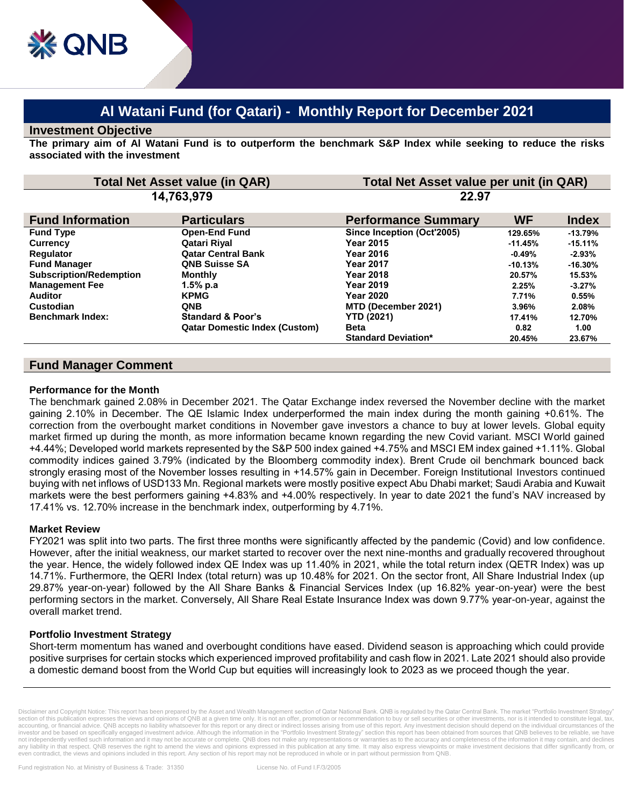# **Al Watani Fund (for Qatari) - Monthly Report for December 2021**

#### **Investment Objective**

**The primary aim of Al Watani Fund is to outperform the benchmark S&P Index while seeking to reduce the risks associated with the investment**

| <b>Total Net Asset value (in QAR)</b><br>14,763,979 |                                      | Total Net Asset value per unit (in QAR)<br>22.97 |           |            |
|-----------------------------------------------------|--------------------------------------|--------------------------------------------------|-----------|------------|
|                                                     |                                      |                                                  |           |            |
| <b>Fund Type</b>                                    | <b>Open-End Fund</b>                 | Since Inception (Oct'2005)                       | 129.65%   | $-13.79%$  |
| <b>Currency</b>                                     | Qatari Riyal                         | <b>Year 2015</b>                                 | $-11.45%$ | $-15.11%$  |
| <b>Requlator</b>                                    | <b>Qatar Central Bank</b>            | <b>Year 2016</b>                                 | $-0.49\%$ | $-2.93%$   |
| <b>Fund Manager</b>                                 | <b>QNB Suisse SA</b>                 | <b>Year 2017</b>                                 | $-10.13%$ | $-16.30\%$ |
| <b>Subscription/Redemption</b>                      | <b>Monthly</b>                       | <b>Year 2018</b>                                 | 20.57%    | 15.53%     |
| <b>Management Fee</b>                               | 1.5% p.a                             | <b>Year 2019</b>                                 | 2.25%     | $-3.27%$   |
| <b>Auditor</b>                                      | <b>KPMG</b>                          | <b>Year 2020</b>                                 | 7.71%     | 0.55%      |
| Custodian                                           | <b>QNB</b>                           | MTD (December 2021)                              | 3.96%     | 2.08%      |
| <b>Benchmark Index:</b>                             | <b>Standard &amp; Poor's</b>         | <b>YTD (2021)</b>                                | 17.41%    | 12.70%     |
|                                                     | <b>Qatar Domestic Index (Custom)</b> | <b>Beta</b>                                      | 0.82      | 1.00       |
|                                                     |                                      | <b>Standard Deviation*</b>                       | 20.45%    | 23.67%     |

## **Fund Manager Comment**

#### **Performance for the Month**

The benchmark gained 2.08% in December 2021. The Qatar Exchange index reversed the November decline with the market gaining 2.10% in December. The QE Islamic Index underperformed the main index during the month gaining +0.61%. The correction from the overbought market conditions in November gave investors a chance to buy at lower levels. Global equity market firmed up during the month, as more information became known regarding the new Covid variant. MSCI World gained +4.44%; Developed world markets represented by the S&P 500 index gained +4.75% and MSCI EM index gained +1.11%. Global commodity indices gained 3.79% (indicated by the Bloomberg commodity index). Brent Crude oil benchmark bounced back strongly erasing most of the November losses resulting in +14.57% gain in December. Foreign Institutional Investors continued buying with net inflows of USD133 Mn. Regional markets were mostly positive expect Abu Dhabi market; Saudi Arabia and Kuwait markets were the best performers gaining +4.83% and +4.00% respectively. In year to date 2021 the fund's NAV increased by 17.41% vs. 12.70% increase in the benchmark index, outperforming by 4.71%.

#### **Market Review**

FY2021 was split into two parts. The first three months were significantly affected by the pandemic (Covid) and low confidence. However, after the initial weakness, our market started to recover over the next nine-months and gradually recovered throughout the year. Hence, the widely followed index QE Index was up 11.40% in 2021, while the total return index (QETR Index) was up 14.71%. Furthermore, the QERI Index (total return) was up 10.48% for 2021. On the sector front, All Share Industrial Index (up 29.87% year-on-year) followed by the All Share Banks & Financial Services Index (up 16.82% year-on-year) were the best performing sectors in the market. Conversely, All Share Real Estate Insurance Index was down 9.77% year-on-year, against the overall market trend.

### **Portfolio Investment Strategy**

Short-term momentum has waned and overbought conditions have eased. Dividend season is approaching which could provide positive surprises for certain stocks which experienced improved profitability and cash flow in 2021. Late 2021 should also provide a domestic demand boost from the World Cup but equities will increasingly look to 2023 as we proceed though the year.

Disclaimer and Copyright Notice: This report has been prepared by the Asset and Wealth Management section of Qatar National Bank. QNB is regulated by the Qatar Central Bank. The market "Portfolio Investment Strategy section of this publication expresses the views and opinions of QNB at a given time only. It is not an offer, promotion or recommendation to buy or sell securities or other investments, nor is it intended to constitute leg accounting, or financial advice. QNB accepts no liability whatsoever for this report or any direct or indirect losses arising from use of this report. Any investment decision should depend on the individual circumstances o investor and be based on specifically engaged investment advice. Although the information in the "Portfolio Investment Strategy" section this report has been obtained from sources that QNB believes to be reliable, we have not independently verified such information and it may not be accurate or complete. QNB does not make any representations or warranties as to the accuracy and completeness of the information it may contain, and declines<br>an even contradict, the views and opinions included in this report. Any section of his report may not be reproduced in whole or in part without permission from QNB.